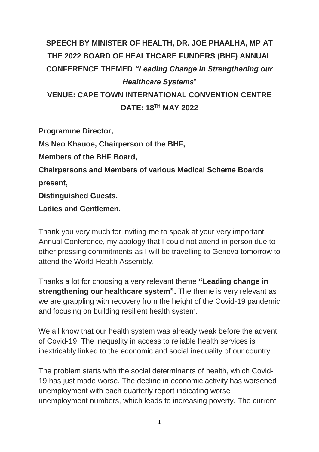## **SPEECH BY MINISTER OF HEALTH, DR. JOE PHAALHA, MP AT THE 2022 BOARD OF HEALTHCARE FUNDERS (BHF) ANNUAL CONFERENCE THEMED** *"Leading Change in Strengthening our Healthcare Systems*" **VENUE: CAPE TOWN INTERNATIONAL CONVENTION CENTRE DATE: 18TH MAY 2022**

**Programme Director,**

**Ms Neo Khauoe, Chairperson of the BHF,**

**Members of the BHF Board,**

**Chairpersons and Members of various Medical Scheme Boards present,**

**Distinguished Guests,**

**Ladies and Gentlemen.**

Thank you very much for inviting me to speak at your very important Annual Conference, my apology that I could not attend in person due to other pressing commitments as I will be travelling to Geneva tomorrow to attend the World Health Assembly.

Thanks a lot for choosing a very relevant theme **"Leading change in strengthening our healthcare system".** The theme is very relevant as we are grappling with recovery from the height of the Covid-19 pandemic and focusing on building resilient health system.

We all know that our health system was already weak before the advent of Covid-19. The inequality in access to reliable health services is inextricably linked to the economic and social inequality of our country.

The problem starts with the social determinants of health, which Covid-19 has just made worse. The decline in economic activity has worsened unemployment with each quarterly report indicating worse unemployment numbers, which leads to increasing poverty. The current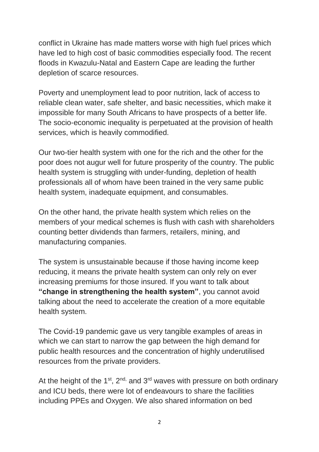conflict in Ukraine has made matters worse with high fuel prices which have led to high cost of basic commodities especially food. The recent floods in Kwazulu-Natal and Eastern Cape are leading the further depletion of scarce resources.

Poverty and unemployment lead to poor nutrition, lack of access to reliable clean water, safe shelter, and basic necessities, which make it impossible for many South Africans to have prospects of a better life. The socio-economic inequality is perpetuated at the provision of health services, which is heavily commodified.

Our two-tier health system with one for the rich and the other for the poor does not augur well for future prosperity of the country. The public health system is struggling with under-funding, depletion of health professionals all of whom have been trained in the very same public health system, inadequate equipment, and consumables.

On the other hand, the private health system which relies on the members of your medical schemes is flush with cash with shareholders counting better dividends than farmers, retailers, mining, and manufacturing companies.

The system is unsustainable because if those having income keep reducing, it means the private health system can only rely on ever increasing premiums for those insured. If you want to talk about **"change in strengthening the health system"**, you cannot avoid talking about the need to accelerate the creation of a more equitable health system.

The Covid-19 pandemic gave us very tangible examples of areas in which we can start to narrow the gap between the high demand for public health resources and the concentration of highly underutilised resources from the private providers.

At the height of the  $1^{st}$ ,  $2^{nd}$ , and  $3^{rd}$  waves with pressure on both ordinary and ICU beds, there were lot of endeavours to share the facilities including PPEs and Oxygen. We also shared information on bed